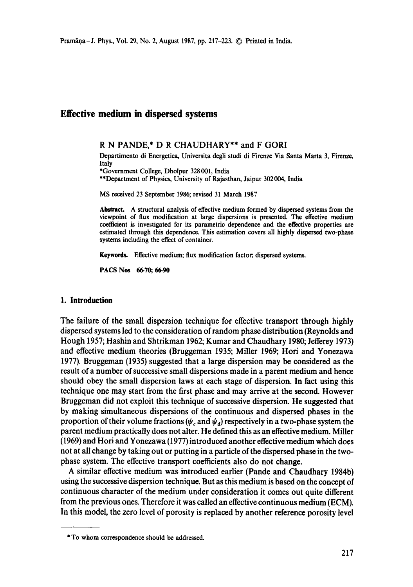# **Effective medium in dispersed systems**

### R N PANDE,\* D R CHAUDHARY\*\* and F GORI

Departimento di Energetica, Universita degli studi di Firenze Via Santa Marta 3, Firenze, **Italy** 

\*Government College, Dholpur 328 001, India

\*\*Department of Physics, University of Rajasthan, Jaipur 302004, India

MS received 23 September 1986; revised 31 March 1987

Abstract. A structural analysis of effective medium formed by dispersed systems from the viewpoint of flux modification at large dispersions is presented. The effective medium coefficient is investigated for its parametric dependence and the effective properties are estimated through this dependence. This estimation covers all highly dispersed two-phase systems including the effect of container.

Keywords. Effective medium; flux modification factor; dispersed systems.

**PACS Nos 66.70; 66.90** 

## **1. Introduction**

The failure of the small dispersion technique for effective transport through highly dispersed systems led to the consideration of random phase distribution (Reynolds and Hough 1957; Hashin and Shtrikman 1962; Kumar and Chaudhary 1980; Jefferey 1973) and effective medium theories (Bruggeman 1935; Miller 1969; Hori and Yonezawa 1977). Bruggeman (1935) suggested that a large dispersion may be considered as the result of a number of successive small dispersions made in a parent medium and hence should obey the small dispersion laws at each stage of dispersion. In fact using this technique one may start from the first phase and may arrive at the second. However Bruggeman did not exploit this technique of successive dispersion. He suggested that by making simultaneous dispersions of the continuous and dispersed phases in the proportion of their volume fractions ( $\psi_c$  and  $\psi_d$ ) respectively in a two-phase system the parent medium practically does not alter. He defined this as an effective medium. Miller (1969) and Hori and Yonezawa (1977) introduced another effective medium which does not at all change by taking out or putting in a particle of the dispersed phase in the twophase system. The effective transport coefficients also do not change.

A similar effective medium was introduced earlier (Pande and Chaudhary 1984b) using the successive dispersion technique. But as this medium is based on the concept of continuous character of the medium under consideration it comes out quite different from the previous ones. Therefore it was called an effective continuous medium (ECM). In this model, the zero level of porosity is replaced by another reference porosity level

<sup>\*</sup> To whom correspondence should be addressed.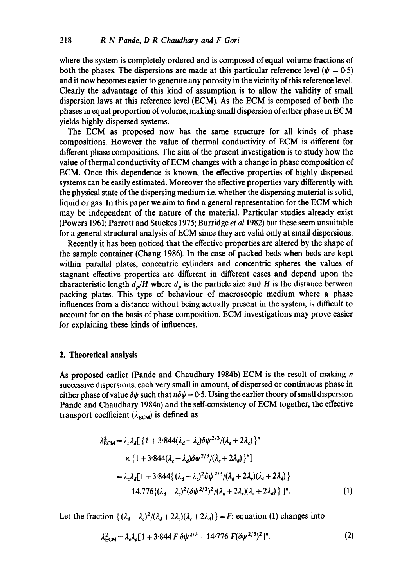where the system is completely ordered and is composed of equal volume fractions of both the phases. The dispersions are made at this particular reference level ( $\psi = 0.5$ ) and it now becomes easier to generate any porosity in the vicinity of this reference level. Clearly the advantage of this kind of assumption is to allow the validity of small dispersion laws at this reference level (ECM). As the ECM is composed of both the phases in equal proportion of volume, making small dispersion of either phase in ECM yields highly dispersed systems.

The ECM as proposed now has the same structure for all kinds of phase compositions. However the value of thermal conductivity of ECM is different for different phase compositions. The aim of the present investigation is to study how the value of thermal conductivity of ECM changes with a change in phase composition of ECM. Once this dependence is known, the effective properties of highly dispersed systems can be easily estimated. Moreover the effective properties vary differently with the physical state of the dispersing medium i.e. whether the dispersing material is solid, liquid or gas. In this paper we aim to find a general representation for the ECM which may be independent of the nature of the material. Particular studies already exist (Powers 1961; Parrott and Stuckes 1975; Burridge *et a11982)* but these seem unsuitable for a general structural analysis of ECM since they are valid only at small dispersions.

Recently it has been noticed that the effective properties are altered by the shape of the sample container (Chang 1986). In the case of packed beds when beds are kept within parallel plates, concentric cylinders and concentric spheres the values of stagnant effective properties are different in different cases and depend upon the characteristic length  $d_p/H$  where  $d_p$  is the particle size and H is the distance between packing plates. This type of behaviour of macroscopic medium where a phase influences from a distance without being actually present in the system, is difficult to account for on the basis of phase composition. ECM investigations may prove easier for explaining these kinds of influences.

#### **2. Theoretical analysis**

As proposed earlier (Pande and Chaudhary 1984b) ECM is the result of making n successive dispersions, each very small in amount, of dispersed or continuous phase in either phase of value  $\delta\psi$  such that  $n\delta\psi = 0.5$ . Using the earlier theory of small dispersion Pande and Chaudhary 1984a) and the self-consistency of ECM together, the effective transport coefficient ( $\lambda_{ECM}$ ) is defined as

$$
\lambda_{\text{ECM}}^2 = \lambda_c \lambda_d \left[ \left\{ 1 + 3.844(\lambda_d - \lambda_c) \delta \psi^{2/3} / (\lambda_d + 2\lambda_c) \right\}^n \right.\n\times \left\{ 1 + 3.844(\lambda_c - \lambda_d) \delta \psi^{2/3} / (\lambda_c + 2\lambda_d) \right\}^n \right]
$$
\n
$$
= \lambda_c \lambda_d \left[ 1 + 3.844 \left\{ (\lambda_d - \lambda_c)^2 \partial \psi^{2/3} / (\lambda_d + 2\lambda_c) (\lambda_c + 2\lambda_d) \right\} \right.
$$
\n
$$
- 14.776 \left\{ (\lambda_d - \lambda_c)^2 (\delta \psi^{2/3})^2 / (\lambda_d + 2\lambda_c) (\lambda_c + 2\lambda_d) \right\} \right].
$$
\n(1)

Let the fraction  $\{(\lambda_d - \lambda_c)^2/(\lambda_d + 2\lambda_c)(\lambda_c + 2\lambda_d)\} = F$ ; equation (1) changes into

$$
\lambda_{\text{ECM}}^2 = \lambda_c \lambda_d [1 + 3.844 \, F \, \delta \psi^{2/3} - 14.776 \, F (\delta \psi^{2/3})^2]^n. \tag{2}
$$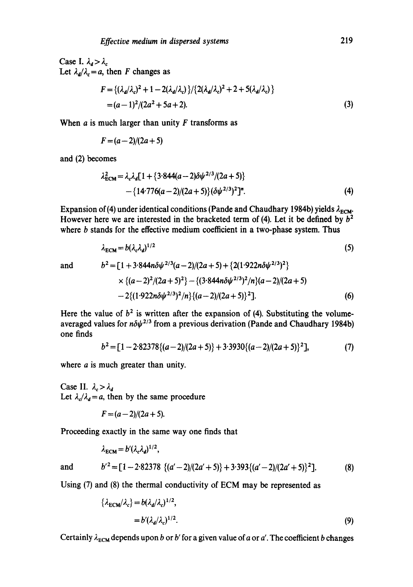Case I.  $\lambda_d > \lambda_c$ Let  $\lambda_d/\lambda_c = a$ , then F changes as

$$
F = \{ (\lambda_d/\lambda_c)^2 + 1 - 2(\lambda_d/\lambda_c) \} / \{ 2(\lambda_d/\lambda_c)^2 + 2 + 5(\lambda_d/\lambda_c) \}
$$
  
=  $(a-1)^2 / (2a^2 + 5a + 2).$  (3)

When  $a$  is much larger than unity  $F$  transforms as

$$
F=(a-2)/(2a+5)
$$

and (2) becomes

$$
\lambda_{\text{ECM}}^2 = \lambda_c \lambda_d [1 + \{3.844(a - 2)\delta \psi^{2/3}/(2a + 5)\}\
$$

$$
- \{14.776(a - 2)/(2a + 5)\} (\delta \psi^{2/3})^2]^n.
$$
 (4)

Expansion of (4) under identical conditions (Pande and Chaudhary 1984b) yields  $\lambda_{ECM}$ . However here we are interested in the bracketed term of (4). Let it be defined by  $b<sup>2</sup>$ where b stands for the effective medium coefficient in a two-phase system. Thus

$$
\lambda_{\text{ECM}} = b(\lambda_c \lambda_d)^{1/2} \tag{5}
$$

and 
$$
b^2 = [1 + 3.844n\delta\psi^{2/3}(a-2)/(2a+5) + \{2(1.922n\delta\psi^{2/3})^2\} \times \{(a-2)^2/(2a+5)^2\} - \{(3.844n\delta\psi^{2/3})^2/n\}(a-2)/(2a+5) - 2\{(1.922n\delta\psi^{2/3})^2/n\} \{(a-2)/(2a+5)\}^2].
$$
 (6)

Here the value of  $b^2$  is written after the expansion of (4). Substituting the volumeaveraged values for  $n\delta\psi^{2/3}$  from a previous derivation (Pande and Chaudhary 1984b) one finds

$$
b2 = [1 - 2.82378\{(a-2)/(2a+5)\} + 3.3930\{(a-2)/(2a+5)\}^2],
$$
 (7)

where *a* is much greater than unity.

Case II.  $\lambda_c > \lambda_d$ Let  $\lambda_c/\lambda_d = a$ , then by the same procedure

 $F = (a-2)/(2a+5).$ 

Proceeding exactly in the same way one finds that

$$
\lambda_{\text{ECM}} = b' (\lambda_c \lambda_d)^{1/2},
$$
  
and 
$$
b'^2 = [1 - 2.82378 \{ (a' - 2)/(2a' + 5) \} + 3.393 \{ (a' - 2)/(2a' + 5) \}^2].
$$
 (8)

Using 
$$
(7)
$$
 and  $(8)$  the thermal conductivity of ECM may be represented as

$$
\{\lambda_{\text{ECM}}/\lambda_c\} = b(\lambda_d/\lambda_c)^{1/2},
$$
  
=  $b'(\lambda_d/\lambda_c)^{1/2}.$  (9)

Certainly  $\lambda_{\text{ECM}}$  depends upon b or b' for a given value of a or a'. The coefficient b changes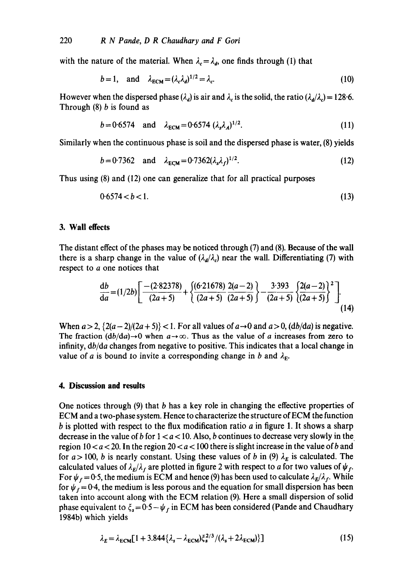with the nature of the material. When  $\lambda_c = \lambda_d$ , one finds through (1) that

$$
b = 1, \quad \text{and} \quad \lambda_{\text{ECM}} = (\lambda_c \lambda_d)^{1/2} = \lambda_c. \tag{10}
$$

However when the dispersed phase ( $\lambda_d$ ) is air and  $\lambda_c$  is the solid, the ratio ( $\lambda_d/\lambda_c$ ) = 128.6. Through  $(8)$  *b* is found as

$$
b = 0.6574 \text{ and } \lambda_{\text{ECM}} = 0.6574 \, (\lambda_s \lambda_A)^{1/2}.
$$
 (11)

Similarly when the continuous phase is soil and the dispersed phase is water, (8) yields

$$
b = 0.7362 \text{ and } \lambda_{\text{ECM}} = 0.7362(\lambda_s \lambda_f)^{1/2}.
$$
 (12)

Thus using (8) and (12) one can generalize that for all practical purposes

$$
0.6574 < b < 1. \tag{13}
$$

### **3. Wall effects**

The distant effect of the phases may be noticed through (7) and (8). Because of the wall there is a sharp change in the value of  $(\lambda_d/\lambda_c)$  near the wall. Differentiating (7) with respect to a one notices that

$$
\frac{\mathrm{d}b}{\mathrm{d}a} = (1/2b) \left[ \frac{-(2.82378)}{(2a+5)} + \left\{ \frac{(6.21678)}{(2a+5)} \frac{2(a-2)}{(2a+5)} \right\} - \frac{3.393}{(2a+5)} \left\{ \frac{2(a-2)}{(2a+5)} \right\}^2 \right].
$$
\n(14)

When  $a > 2$ ,  $\{2(a-2)/(2a+5)\}$  < 1. For all values of  $a \rightarrow 0$  and  $a > 0$ ,  $\{db/da\}$  is negative. The fraction  $(db/da) \rightarrow 0$  when  $a \rightarrow \infty$ . Thus as the value of a increases from zero to infinity, *db/da* changes from negative to positive. This indicates that a local change in value of a is bound to invite a corresponding change in b and  $\lambda_{\rm E}$ .

#### **4. Discussion and results**

One notices through  $(9)$  that b has a key role in changing the effective properties of ECM and a two-phase system. Hence to characterize the structure of ECM the function b is plotted with respect to the flux modification ratio a in figure 1. It shows a sharp decrease in the value of b for  $1 < a < 10$ . Also, b continues to decrease very slowly in the region  $10 < a < 20$ . In the region  $20 < a < 100$  there is slight increase in the value of b and for  $a > 100$ , b is nearly constant. Using these values of b in (9)  $\lambda_E$  is calculated. The calculated values of  $\lambda_E/\lambda_f$  are plotted in figure 2 with respect to a for two values of  $\psi_f$ . For  $\psi_f = 0.5$ , the medium is ECM and hence (9) has been used to calculate  $\lambda_E/\lambda_f$ . While for  $\psi_f = 0.4$ , the medium is less porous and the equation for small dispersion has been taken into account along with the ECM relation (9). Here a small dispersion of solid phase equivalent to  $\zeta_s = 0.5 - \psi_f$  in ECM has been considered (Pande and Chaudhary 1984b) which yields

$$
\lambda_E = \lambda_{\text{ECM}} \left[ 1 + 3.844 \{ \lambda_s - \lambda_{\text{ECM}} \} \xi_s^{2/3} / (\lambda_s + 2 \lambda_{\text{ECM}}) \right] \tag{15}
$$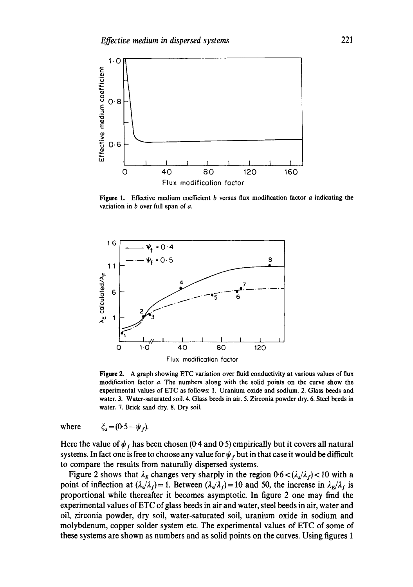

Figure 1. Effective medium coefficient b versus flux modification factor a indicating the variation in  $b$  over full span of  $a$ .



**Figure 2.** A graph showing ETC variation over fluid conductivity at various values of flux modification factor a. The numbers along with the solid points on the curve show the experimental values of ETC as follows: 1. Uranium oxide and sodium. 2. Glass beeds and water. 3. Water-saturated soil. 4. Glass beeds in air. 5. Zirconia powder dry. 6. Steel beeds in water. 7. Brick sand dry. 8. Dry soil.

where  $\xi_s = (0.5 - \psi_r)$ .

Here the value of  $\psi_f$  has been chosen (0.4 and 0.5) empirically but it covers all natural systems. In fact one is free to choose any value for  $\psi_f$  but in that case it would be difficult to compare the results from naturally dispersed systems.

Figure 2 shows that  $\lambda_E$  changes very sharply in the region  $0.6 < (\lambda_s/\lambda_f) < 10$  with a point of inflection at  $(\lambda_s/\lambda_f) = 1$ . Between  $(\lambda_s/\lambda_f) = 10$  and 50, the increase in  $\lambda_E/\lambda_f$  is proportional while thereafter it becomes asymptotic. In figure 2 one may find the experimental values of ETC of glass beeds in air and water, steel beeds in air, water and oil, zirconia powder, dry soil, water-saturated soil, uranium oxide in sodium and molybdenum, copper solder system etc. The experimental values of ETC of some of these systems are shown as numbers and as solid points on the curves. Using figures 1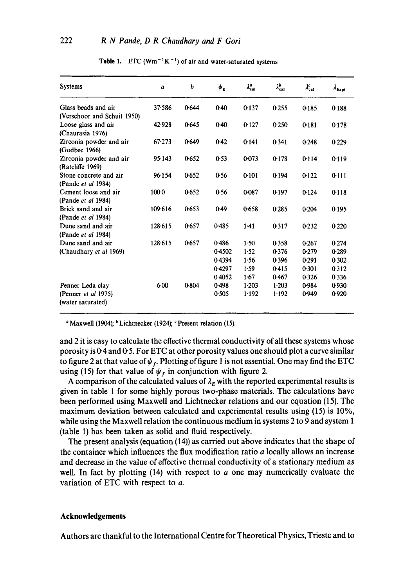| <b>Systems</b>              | a          | b     | $\boldsymbol{\psi}_{\mathbf{g}}$ | $\lambda_{\rm cal}^{a}$ | $\lambda_{\text{cal}}^{b}$ | $\lambda_{\text{cal}}^c$ | $\lambda_{\text{Expt}}$ |
|-----------------------------|------------|-------|----------------------------------|-------------------------|----------------------------|--------------------------|-------------------------|
| Glass beads and air         | 37.586     | 0.644 | 0.40                             | 0.137                   | 0.255                      | 0.185                    | 0.188                   |
| (Verschoor and Schuit 1950) |            |       |                                  |                         |                            |                          |                         |
| Loose glass and air         | 42.928     | 0.645 | $0-40$                           | 0.127                   | 0.250                      | 0.181                    | 0-178                   |
| (Chaurasia 1976)            |            |       |                                  |                         |                            |                          |                         |
| Zirconia powder and air     | $67 - 273$ | 0.649 | 0.42                             | 0.141                   | 0.341                      | 0.248                    | 0.229                   |
| (Godbee 1966)               |            |       |                                  |                         |                            |                          |                         |
| Zirconia powder and air     | 95.143     | 0.652 | 0.53                             | 0.073                   | 0.178                      | 0.114                    | 0.119                   |
| (Ratcliffe 1969)            |            |       |                                  |                         |                            |                          |                         |
| Stone concrete and air      | 96.154     | 0.652 | 0.56                             | 0.101                   | 0.194                      | 0.122                    | 0.111                   |
| (Pande <i>et al</i> 1984)   |            |       |                                  |                         |                            |                          |                         |
| Cement loose and air        | $100-0$    | 0.652 | 0.56                             | 0-087                   | 0.197                      | 0.124                    | 0.118                   |
| (Pande et al 1984)          |            |       |                                  |                         |                            |                          |                         |
| Brick sand and air          | 109.616    | 0.653 | 0.49                             | 0.658                   | 0.285                      | 0.204                    | 0.195                   |
| (Pande et al 1984)          |            |       |                                  |                         |                            |                          |                         |
| Dune sand and air           | 128.615    | 0.657 | 0.485                            | $1-41$                  | 0.317                      | 0.232                    | 0.220                   |
| (Pande et al 1984)          |            |       |                                  |                         |                            |                          |                         |
| Dune sand and air           | 128.615    | 0.657 | 0.486                            | $1-50$                  | 0.358                      | 0.267                    | 0.274                   |
| (Chaudhary et al 1969)      |            |       | 0.4502                           | 1.52                    | 0.376                      | 0.279                    | 0289                    |
|                             |            |       | 0.4394                           | 1.56                    | 0.396                      | 0.291                    | 0.302                   |
|                             |            |       | 0.4297                           | 1.59                    | 0.415                      | 0.301                    | 0.312                   |
|                             |            |       | 0.4052                           | 1.67                    | 0.467                      | 0.326                    | 0.336                   |
| Penner Leda clay            | 6:00       | 0.804 | 0.498                            | 1.203                   | 1.203                      | 0.984                    | 0930                    |
| (Penner $et$ al 1975)       |            |       | 0.505                            | 1.192                   | 1.192                      | 0.949                    | 0.920                   |
| (water saturated)           |            |       |                                  |                         |                            |                          |                         |

**Table 1.** ETC ( $\text{Wm}^{-1}\text{K}^{-1}$ ) of air and water-saturated systems

 $\textdegree$  Maxwell (1904);  $\textdegree$  Lichtnecker (1924);  $\textdegree$  Present relation (15).

and 2 it is easy to calculate the effective thermal conductivity of all these systems whose porosity is 0-4 and 0-5. For ETC at other porosity values one should plot a curve similar to figure 2 at that value of  $\psi_f$ . Plotting of figure 1 is not essential. One may find the ETC using (15) for that value of  $\psi_f$  in conjunction with figure 2.

A comparison of the calculated values of  $\lambda_E$  with the reported experimental results is given in table 1 for some highly porous two-phase materials. The calculations have been performed using Maxwell and Lichtnecker relations and our equation (15). The maximum deviation between calculated and experimental results using (15) is 10%, while using the Maxwell relation the continuous medium in systems 2 to 9 and system 1 (table 1) has been taken as solid and fluid respectively.

The present analysis (equation (14)) as carried out above indicates that the shape of the container which influences the flux modification ratio a locally allows an increase and decrease in the value of effective thermal conductivity of a stationary medium as well. In fact by plotting  $(14)$  with respect to a one may numerically evaluate the variation of ETC with respect to a.

#### **Acknowledgements**

Authors are thankful to the International Centre for Theoretical Physics, Trieste and to